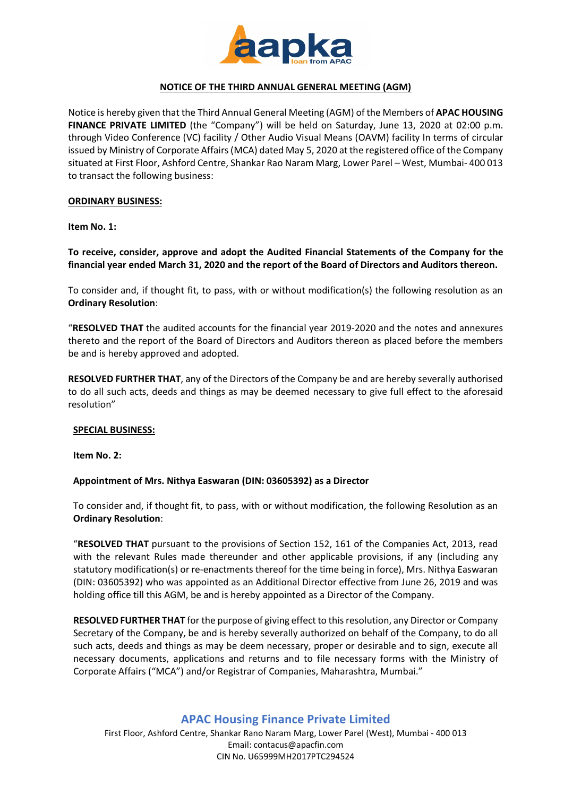

# **NOTICE OF THE THIRD ANNUAL GENERAL MEETING (AGM)**

Notice is hereby given that the Third Annual General Meeting (AGM) of the Members of **APAC HOUSING FINANCE PRIVATE LIMITED** (the "Company") will be held on Saturday, June 13, 2020 at 02:00 p.m. through Video Conference (VC) facility / Other Audio Visual Means (OAVM) facility In terms of circular issued by Ministry of Corporate Affairs (MCA) dated May 5, 2020 at the registered office of the Company situated at First Floor, Ashford Centre, Shankar Rao Naram Marg, Lower Parel – West, Mumbai- 400 013 to transact the following business:

#### **ORDINARY BUSINESS:**

#### **Item No. 1:**

**To receive, consider, approve and adopt the Audited Financial Statements of the Company for the financial year ended March 31, 2020 and the report of the Board of Directors and Auditors thereon.**

To consider and, if thought fit, to pass, with or without modification(s) the following resolution as an **Ordinary Resolution**:

"**RESOLVED THAT** the audited accounts for the financial year 2019-2020 and the notes and annexures thereto and the report of the Board of Directors and Auditors thereon as placed before the members be and is hereby approved and adopted.

**RESOLVED FURTHER THAT**, any of the Directors of the Company be and are hereby severally authorised to do all such acts, deeds and things as may be deemed necessary to give full effect to the aforesaid resolution"

#### **SPECIAL BUSINESS:**

**Item No. 2:**

## **Appointment of Mrs. Nithya Easwaran (DIN: 03605392) as a Director**

To consider and, if thought fit, to pass, with or without modification, the following Resolution as an **Ordinary Resolution**:

"**RESOLVED THAT** pursuant to the provisions of Section 152, 161 of the Companies Act, 2013, read with the relevant Rules made thereunder and other applicable provisions, if any (including any statutory modification(s) or re-enactments thereof for the time being in force), Mrs. Nithya Easwaran (DIN: 03605392) who was appointed as an Additional Director effective from June 26, 2019 and was holding office till this AGM, be and is hereby appointed as a Director of the Company.

**RESOLVED FURTHER THAT** for the purpose of giving effect to this resolution, any Director or Company Secretary of the Company, be and is hereby severally authorized on behalf of the Company, to do all such acts, deeds and things as may be deem necessary, proper or desirable and to sign, execute all necessary documents, applications and returns and to file necessary forms with the Ministry of Corporate Affairs ("MCA") and/or Registrar of Companies, Maharashtra, Mumbai."

# **APAC Housing Finance Private Limited**

First Floor, Ashford Centre, Shankar Rano Naram Marg, Lower Parel (West), Mumbai - 400 013 Email: contacus@apacfin.com CIN No. U65999MH2017PTC294524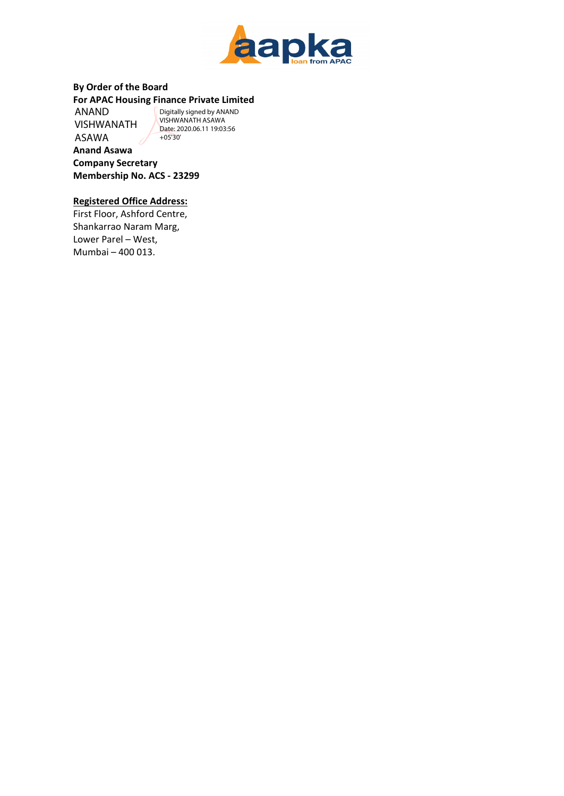

## **By Order of the Board For APAC Housing Finance Private Limited**

ANAND VISHWANATH ASAWA

Digitally signed by ANAND VISHWANATH ASAWA Date: 2020.06.11 19:03:56 +05'30'

**Anand Asawa Company Secretary Membership No. ACS - 23299**

# **Registered Office Address:**

First Floor, Ashford Centre, Shankarrao Naram Marg, Lower Parel – West, Mumbai – 400 013.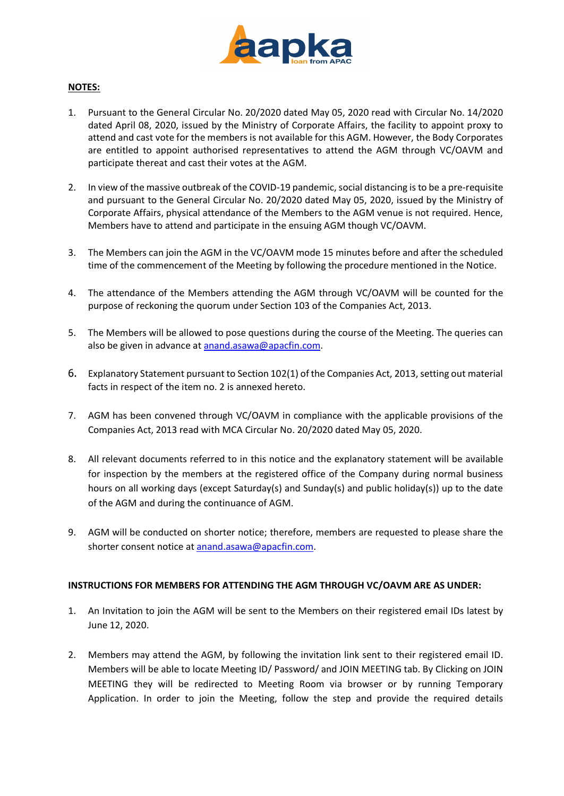

## **NOTES:**

- 1. Pursuant to the General Circular No. 20/2020 dated May 05, 2020 read with Circular No. 14/2020 dated April 08, 2020, issued by the Ministry of Corporate Affairs, the facility to appoint proxy to attend and cast vote for the members is not available for this AGM. However, the Body Corporates are entitled to appoint authorised representatives to attend the AGM through VC/OAVM and participate thereat and cast their votes at the AGM.
- 2. In view of the massive outbreak of the COVID-19 pandemic, social distancing is to be a pre-requisite and pursuant to the General Circular No. 20/2020 dated May 05, 2020, issued by the Ministry of Corporate Affairs, physical attendance of the Members to the AGM venue is not required. Hence, Members have to attend and participate in the ensuing AGM though VC/OAVM.
- 3. The Members can join the AGM in the VC/OAVM mode 15 minutes before and after the scheduled time of the commencement of the Meeting by following the procedure mentioned in the Notice.
- 4. The attendance of the Members attending the AGM through VC/OAVM will be counted for the purpose of reckoning the quorum under Section 103 of the Companies Act, 2013.
- 5. The Members will be allowed to pose questions during the course of the Meeting. The queries can also be given in advance at [anand.asawa@apacfin.com.](mailto:anand.asawa@apacfin.com)
- 6. Explanatory Statement pursuant to Section 102(1) of the Companies Act, 2013, setting out material facts in respect of the item no. 2 is annexed hereto.
- 7. AGM has been convened through VC/OAVM in compliance with the applicable provisions of the Companies Act, 2013 read with MCA Circular No. 20/2020 dated May 05, 2020.
- 8. All relevant documents referred to in this notice and the explanatory statement will be available for inspection by the members at the registered office of the Company during normal business hours on all working days (except Saturday(s) and Sunday(s) and public holiday(s)) up to the date of the AGM and during the continuance of AGM.
- 9. AGM will be conducted on shorter notice; therefore, members are requested to please share the shorter consent notice at [anand.asawa@apacfin.com.](mailto:anand.asawa@apacfin.com)

## **INSTRUCTIONS FOR MEMBERS FOR ATTENDING THE AGM THROUGH VC/OAVM ARE AS UNDER:**

- 1. An Invitation to join the AGM will be sent to the Members on their registered email IDs latest by June 12, 2020.
- 2. Members may attend the AGM, by following the invitation link sent to their registered email ID. Members will be able to locate Meeting ID/ Password/ and JOIN MEETING tab. By Clicking on JOIN MEETING they will be redirected to Meeting Room via browser or by running Temporary Application. In order to join the Meeting, follow the step and provide the required details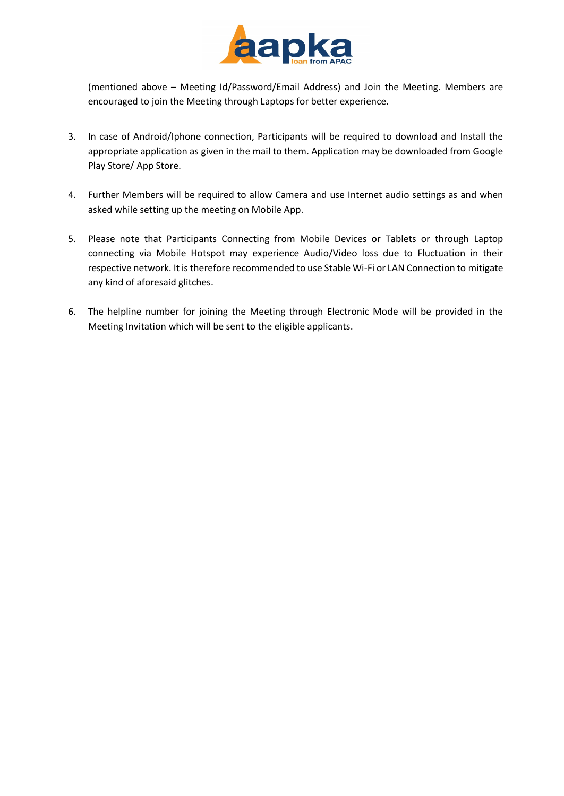

(mentioned above – Meeting Id/Password/Email Address) and Join the Meeting. Members are encouraged to join the Meeting through Laptops for better experience.

- 3. In case of Android/Iphone connection, Participants will be required to download and Install the appropriate application as given in the mail to them. Application may be downloaded from Google Play Store/ App Store.
- 4. Further Members will be required to allow Camera and use Internet audio settings as and when asked while setting up the meeting on Mobile App.
- 5. Please note that Participants Connecting from Mobile Devices or Tablets or through Laptop connecting via Mobile Hotspot may experience Audio/Video loss due to Fluctuation in their respective network. It is therefore recommended to use Stable Wi-Fi or LAN Connection to mitigate any kind of aforesaid glitches.
- 6. The helpline number for joining the Meeting through Electronic Mode will be provided in the Meeting Invitation which will be sent to the eligible applicants.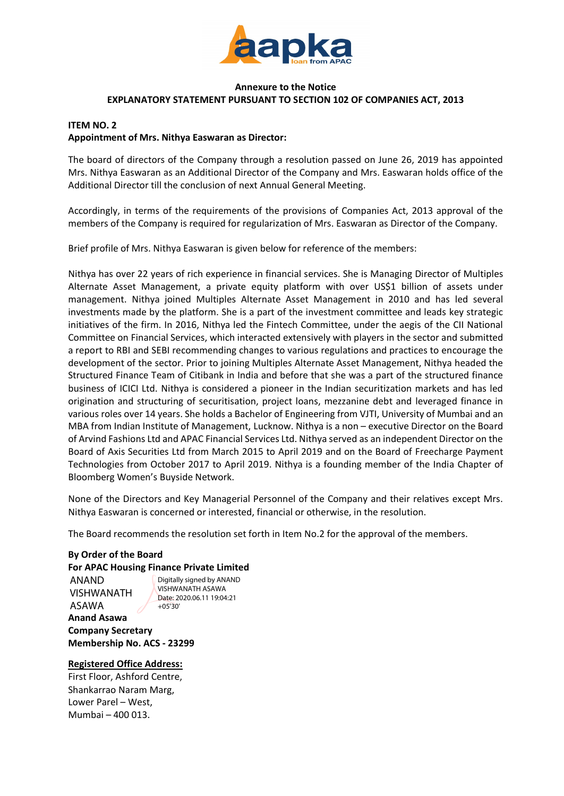

## **Annexure to the Notice EXPLANATORY STATEMENT PURSUANT TO SECTION 102 OF COMPANIES ACT, 2013**

# **ITEM NO. 2 Appointment of Mrs. Nithya Easwaran as Director:**

The board of directors of the Company through a resolution passed on June 26, 2019 has appointed Mrs. Nithya Easwaran as an Additional Director of the Company and Mrs. Easwaran holds office of the Additional Director till the conclusion of next Annual General Meeting.

Accordingly, in terms of the requirements of the provisions of Companies Act, 2013 approval of the members of the Company is required for regularization of Mrs. Easwaran as Director of the Company.

Brief profile of Mrs. Nithya Easwaran is given below for reference of the members:

Nithya has over 22 years of rich experience in financial services. She is Managing Director of Multiples Alternate Asset Management, a private equity platform with over US\$1 billion of assets under management. Nithya joined Multiples Alternate Asset Management in 2010 and has led several investments made by the platform. She is a part of the investment committee and leads key strategic initiatives of the firm. In 2016, Nithya led the Fintech Committee, under the aegis of the CII National Committee on Financial Services, which interacted extensively with players in the sector and submitted a report to RBI and SEBI recommending changes to various regulations and practices to encourage the development of the sector. Prior to joining Multiples Alternate Asset Management, Nithya headed the Structured Finance Team of Citibank in India and before that she was a part of the structured finance business of ICICI Ltd. Nithya is considered a pioneer in the Indian securitization markets and has led origination and structuring of securitisation, project loans, mezzanine debt and leveraged finance in various roles over 14 years. She holds a Bachelor of Engineering from VJTI, University of Mumbai and an MBA from Indian Institute of Management, Lucknow. Nithya is a non – executive Director on the Board of Arvind Fashions Ltd and APAC Financial Services Ltd. Nithya served as an independent Director on the Board of Axis Securities Ltd from March 2015 to April 2019 and on the Board of Freecharge Payment Technologies from October 2017 to April 2019. Nithya is a founding member of the India Chapter of Bloomberg Women's Buyside Network.

None of the Directors and Key Managerial Personnel of the Company and their relatives except Mrs. Nithya Easwaran is concerned or interested, financial or otherwise, in the resolution.

The Board recommends the resolution set forth in Item No.2 for the approval of the members.

# **By Order of the Board For APAC Housing Finance Private Limited**

**Anand Asawa** ANAND VISHWANATH ASAWA  $+05'30'$ 

Digitally signed by ANAND VISHWANATH ASAWA Date: 2020.06.11 19:04:21

**Company Secretary Membership No. ACS - 23299**

**Registered Office Address:** 

First Floor, Ashford Centre, Shankarrao Naram Marg, Lower Parel – West, Mumbai – 400 013.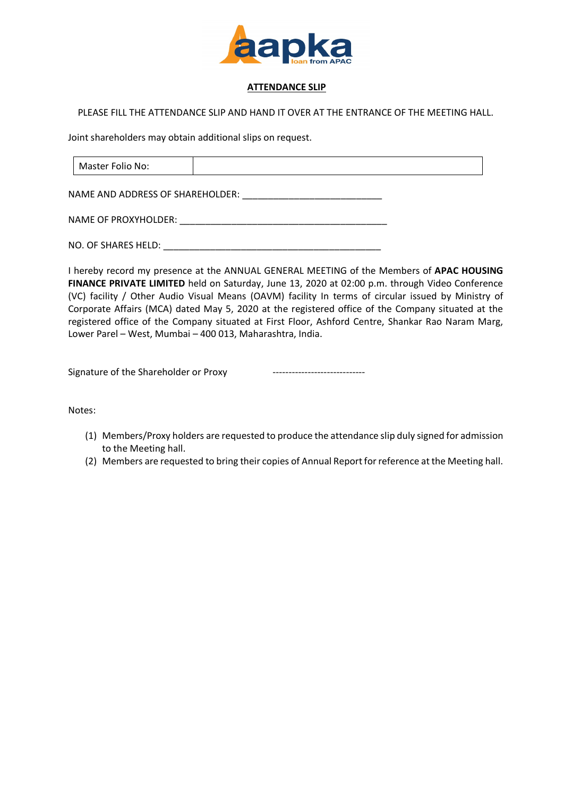

## **ATTENDANCE SLIP**

## PLEASE FILL THE ATTENDANCE SLIP AND HAND IT OVER AT THE ENTRANCE OF THE MEETING HALL.

Joint shareholders may obtain additional slips on request.

| Master Folio No: |  |
|------------------|--|
|                  |  |

NAME AND ADDRESS OF SHAREHOLDER:

NAME OF PROXYHOLDER: \_\_\_\_\_\_\_\_\_\_\_\_\_\_\_\_\_\_\_\_\_\_\_\_\_\_\_\_\_\_\_\_\_\_\_\_\_\_\_\_

NO. OF SHARES HELD: **WE SHARES** HELD:

I hereby record my presence at the ANNUAL GENERAL MEETING of the Members of **APAC HOUSING FINANCE PRIVATE LIMITED** held on Saturday, June 13, 2020 at 02:00 p.m. through Video Conference (VC) facility / Other Audio Visual Means (OAVM) facility In terms of circular issued by Ministry of Corporate Affairs (MCA) dated May 5, 2020 at the registered office of the Company situated at the registered office of the Company situated at First Floor, Ashford Centre, Shankar Rao Naram Marg, Lower Parel – West, Mumbai – 400 013, Maharashtra, India.

Signature of the Shareholder or Proxy -----------------------------

Notes:

- (1) Members/Proxy holders are requested to produce the attendance slip duly signed for admission to the Meeting hall.
- (2) Members are requested to bring their copies of Annual Report for reference at the Meeting hall.